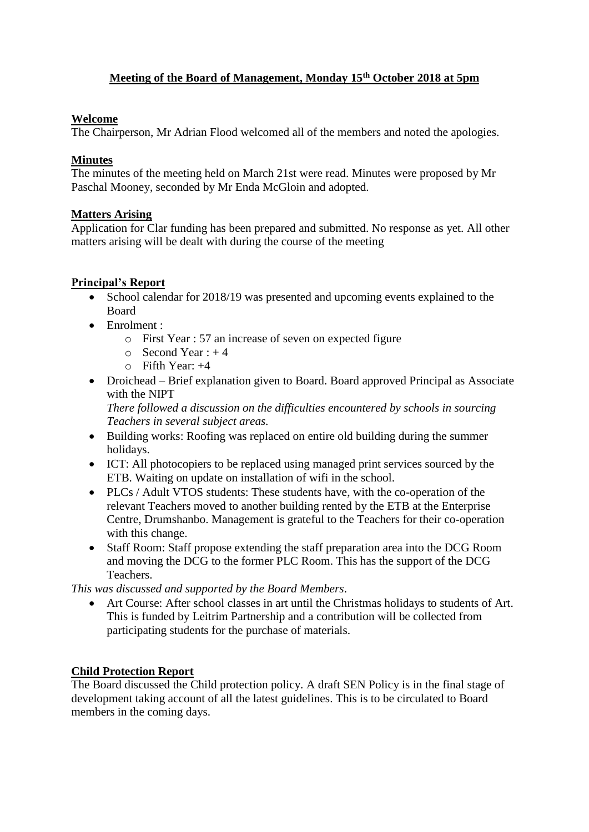# **Meeting of the Board of Management, Monday 15th October 2018 at 5pm**

## **Welcome**

The Chairperson, Mr Adrian Flood welcomed all of the members and noted the apologies.

## **Minutes**

The minutes of the meeting held on March 21st were read. Minutes were proposed by Mr Paschal Mooney, seconded by Mr Enda McGloin and adopted.

## **Matters Arising**

Application for Clar funding has been prepared and submitted. No response as yet. All other matters arising will be dealt with during the course of the meeting

# **Principal's Report**

- School calendar for 2018/19 was presented and upcoming events explained to the Board
- Enrolment :
	- o First Year : 57 an increase of seven on expected figure
	- $\circ$  Second Year : +4
	- $\circ$  Fifth Year:  $+4$
- Droichead Brief explanation given to Board. Board approved Principal as Associate with the NIPT

*There followed a discussion on the difficulties encountered by schools in sourcing Teachers in several subject areas.*

- Building works: Roofing was replaced on entire old building during the summer holidays.
- ICT: All photocopiers to be replaced using managed print services sourced by the ETB. Waiting on update on installation of wifi in the school.
- PLCs / Adult VTOS students: These students have, with the co-operation of the relevant Teachers moved to another building rented by the ETB at the Enterprise Centre, Drumshanbo. Management is grateful to the Teachers for their co-operation with this change.
- Staff Room: Staff propose extending the staff preparation area into the DCG Room and moving the DCG to the former PLC Room. This has the support of the DCG Teachers.

*This was discussed and supported by the Board Members*.

 Art Course: After school classes in art until the Christmas holidays to students of Art. This is funded by Leitrim Partnership and a contribution will be collected from participating students for the purchase of materials.

# **Child Protection Report**

The Board discussed the Child protection policy. A draft SEN Policy is in the final stage of development taking account of all the latest guidelines. This is to be circulated to Board members in the coming days.